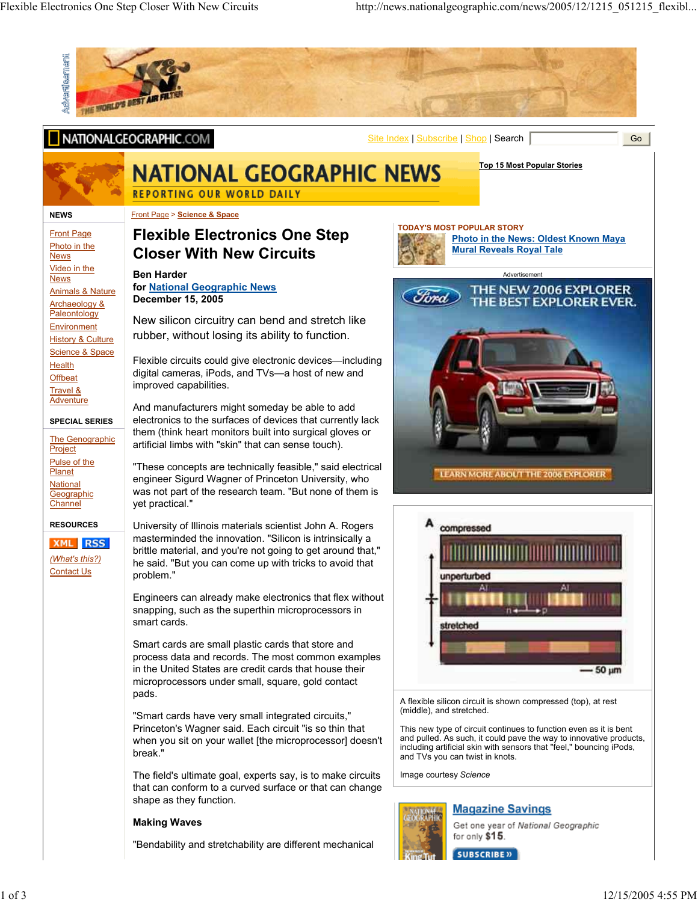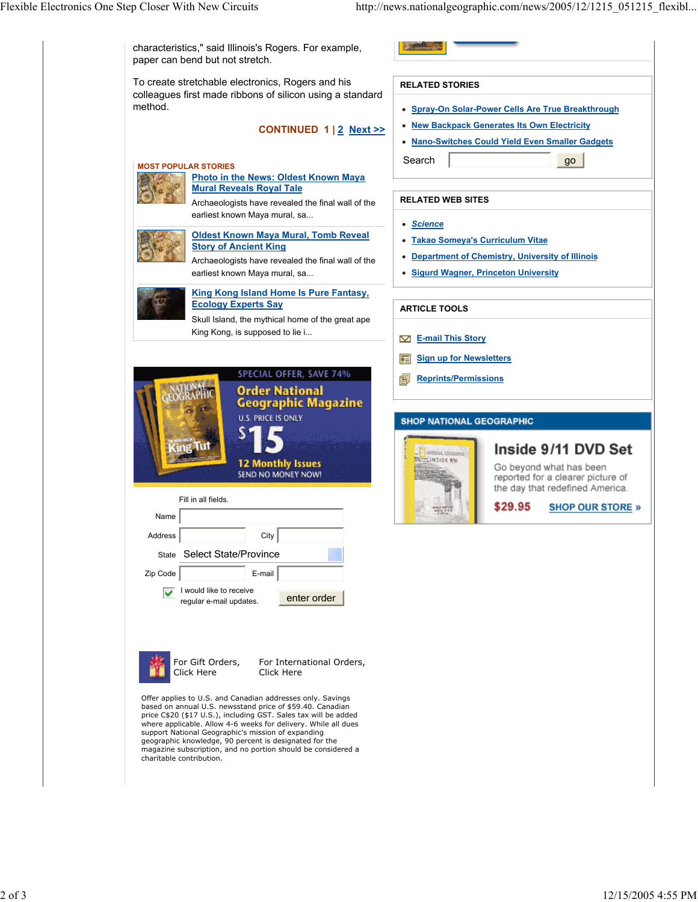Flexible Electronics One Step Closer With New Circuits http://news.nationalgeographic.com/news/2005/12/1215\_051215\_flexibl...

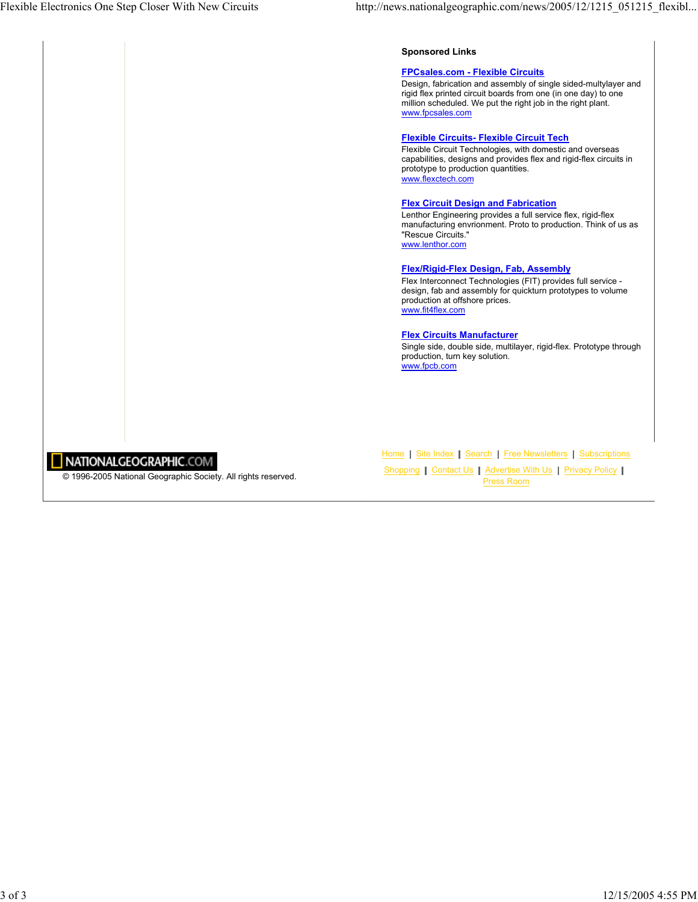### **Sponsored Links**

#### **FPCsales.com - Flexible Circuits**

Design, fabrication and assembly of single sided-multylayer and rigid flex printed circuit boards from one (in one day) to one million scheduled. We put the right job in the right plant. www.fpcsales.com

#### **Flexible Circuits- Flexible Circuit Tech**

Flexible Circuit Technologies, with domestic and overseas capabilities, designs and provides flex and rigid-flex circuits in prototype to production quantities. www.flexctech.com

#### **Flex Circuit Design and Fabrication**

Lenthor Engineering provides a full service flex, rigid-flex manufacturing envrionment. Proto to production. Think of us as "Rescue Circuits." www.lenthor.com

# **Flex/Rigid-Flex Design, Fab, Assembly**

Flex Interconnect Technologies (FIT) provides full service design, fab and assembly for quickturn prototypes to volume production at offshore prices. www.fit4flex.com

### **Flex Circuits Manufacturer**

Single side, double side, multilayer, rigid-flex. Prototype through production, turn key solution. www.fpcb.com

# NATIONALGEOGRAPHIC.COM

© 1996-2005 National Geographic Society. All rights reserved.

Home | Site Index | Search | Free Newsletters | Subscriptions Shopping | Contact Us | Advertise With Us | Privacy Policy | Press Room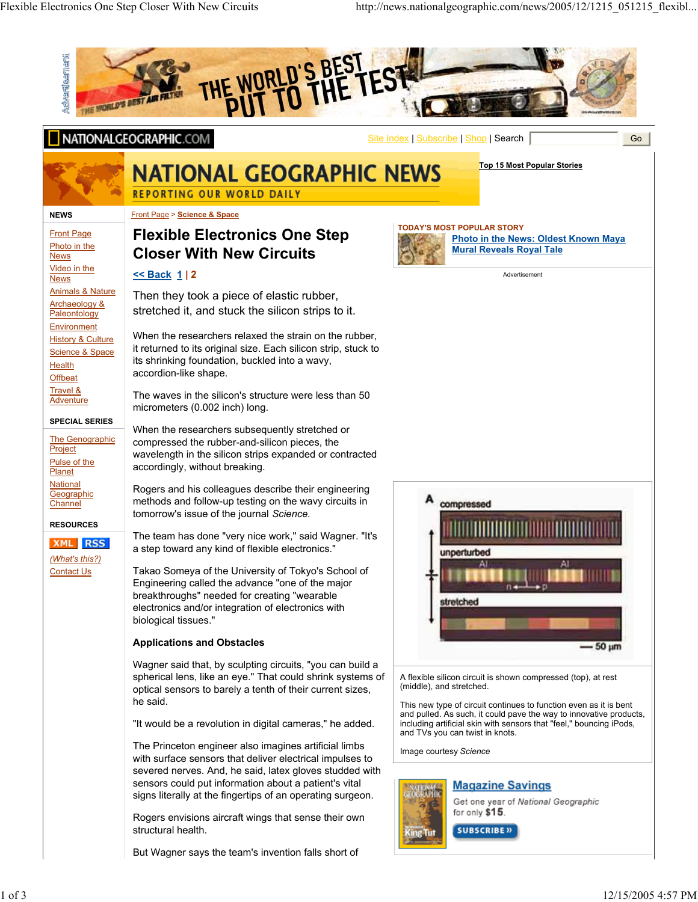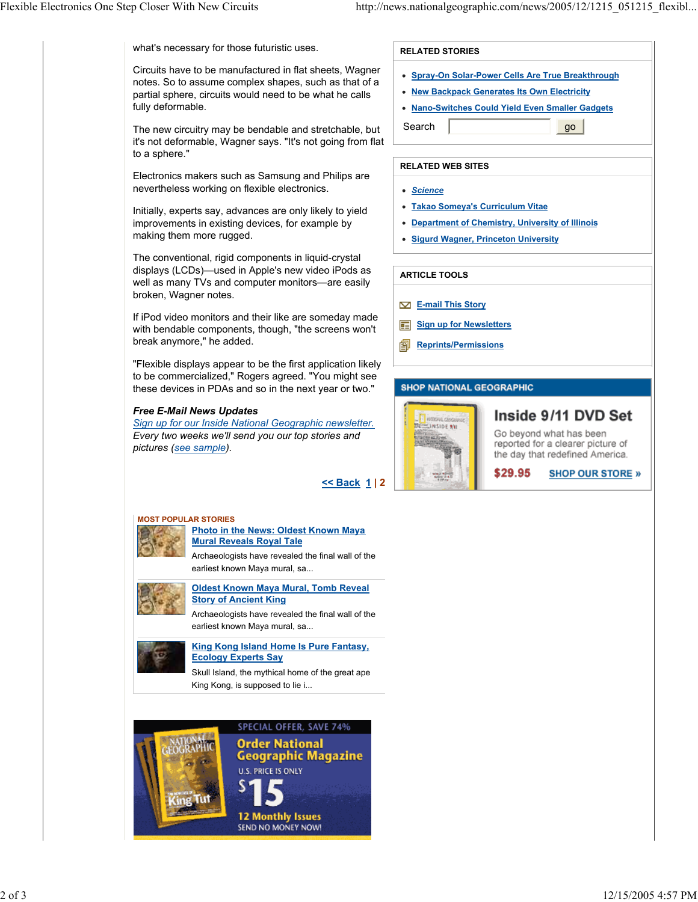what's necessary for those futuristic uses.

Circuits have to be manufactured in flat sheets, Wagner notes. So to assume complex shapes, such as that of a partial sphere, circuits would need to be what he calls fully deformable.

The new circuitry may be bendable and stretchable, but it's not deformable, Wagner says. "It's not going from flat to a sphere."

Electronics makers such as Samsung and Philips are nevertheless working on flexible electronics.

Initially, experts say, advances are only likely to yield improvements in existing devices, for example by making them more rugged.

The conventional, rigid components in liquid-crystal displays (LCDs)—used in Apple's new video iPods as well as many TVs and computer monitors—are easily broken, Wagner notes.

If iPod video monitors and their like are someday made with bendable components, though, "the screens won't break anymore," he added.

"Flexible displays appear to be the first application likely to be commercialized," Rogers agreed. "You might see these devices in PDAs and so in the next year or two."

# *Free E-Mail News Updates*

*Sign up for our Inside National Geographic newsletter. Every two weeks we'll send you our top stories and pictures (see sample).*

**<< Back 1 | 2**



## **RELATED WEB SITES**

- *Science*
- **Takao Someya's Curriculum Vitae**
- **Department of Chemistry, University of Illinois**
- **Sigurd Wagner, Princeton University**

## **ARTICLE TOOLS**

- **E-mail This Story**
- **Sign up for Newsletters** 审
- 副 **Reprints/Permissions**

## **SHOP NATIONAL GEOGRAPHIC**



# Inside 9/11 DVD Set

Go beyond what has been reported for a clearer picture of the day that redefined America.

**SHOP OUR STORE »** \$29.95

# **MOST POPULAR STORIES**

# **Photo in the News: Oldest Known Maya Mural Reveals Royal Tale**

Archaeologists have revealed the final wall of the earliest known Maya mural, sa...



**Oldest Known Maya Mural, Tomb Reveal Story of Ancient King**

Archaeologists have revealed the final wall of the earliest known Maya mural, sa...



**King Kong Island Home Is Pure Fantasy,** 

**Ecology Experts Say**

Skull Island, the mythical home of the great ape King Kong, is supposed to lie i...



SPECIAL OFFER, SAVE 74% **Order National Geographic Magazine U.S. PRICE IS ONLY** 

**12 Monthly Issues** SEND NO MONEY NOW!